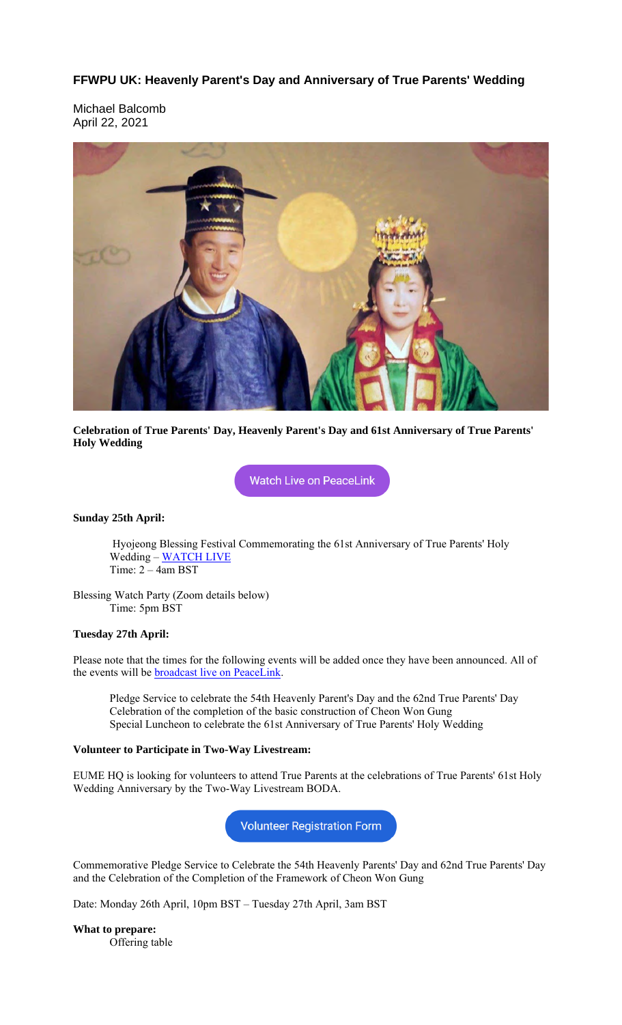### **FFWPU UK: Heavenly Parent's Day and Anniversary of True Parents' Wedding**

Michael Balcomb April 22, 2021



#### **Celebration of True Parents' Day, Heavenly Parent's Day and 61st Anniversary of True Parents' Holy Wedding**

**Watch Live on PeaceLink** 

#### **Sunday 25th April:**

Hyojeong Blessing Festival Commemorating the 61st Anniversary of True Parents' Holy Wedding – WATCH LIVE Time: 2 – 4am BST

Blessing Watch Party (Zoom details below) Time: 5pm BST

#### **Tuesday 27th April:**

Please note that the times for the following events will be added once they have been announced. All of the events will be **broadcast** live on PeaceLink.

Pledge Service to celebrate the 54th Heavenly Parent's Day and the 62nd True Parents' Day Celebration of the completion of the basic construction of Cheon Won Gung Special Luncheon to celebrate the 61st Anniversary of True Parents' Holy Wedding

#### **Volunteer to Participate in Two-Way Livestream:**

EUME HQ is looking for volunteers to attend True Parents at the celebrations of True Parents' 61st Holy Wedding Anniversary by the Two-Way Livestream BODA.

**Volunteer Registration Form** 

Commemorative Pledge Service to Celebrate the 54th Heavenly Parents' Day and 62nd True Parents' Day and the Celebration of the Completion of the Framework of Cheon Won Gung

Date: Monday 26th April, 10pm BST – Tuesday 27th April, 3am BST

**What to prepare:** Offering table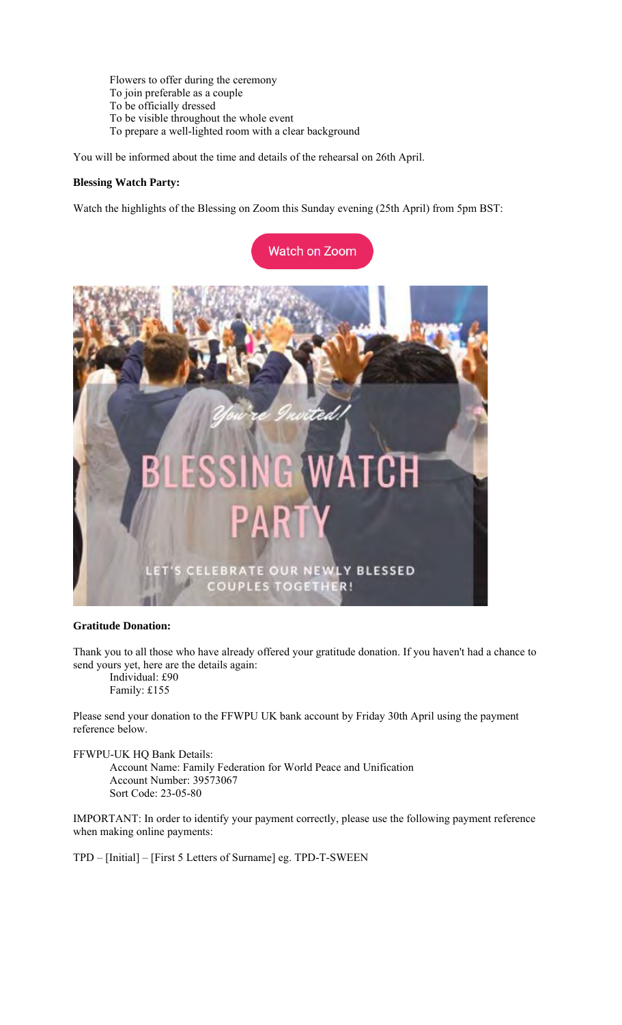Flowers to offer during the ceremony To join preferable as a couple To be officially dressed To be visible throughout the whole event To prepare a well-lighted room with a clear background

You will be informed about the time and details of the rehearsal on 26th April.

#### **Blessing Watch Party:**

Watch the highlights of the Blessing on Zoom this Sunday evening (25th April) from 5pm BST:



#### **Gratitude Donation:**

Thank you to all those who have already offered your gratitude donation. If you haven't had a chance to send yours yet, here are the details again:

Individual: £90 Family: £155

Please send your donation to the FFWPU UK bank account by Friday 30th April using the payment reference below.

#### FFWPU-UK HQ Bank Details:

Account Name: Family Federation for World Peace and Unification Account Number: 39573067 Sort Code: 23-05-80

IMPORTANT: In order to identify your payment correctly, please use the following payment reference when making online payments:

TPD – [Initial] – [First 5 Letters of Surname] eg. TPD-T-SWEEN